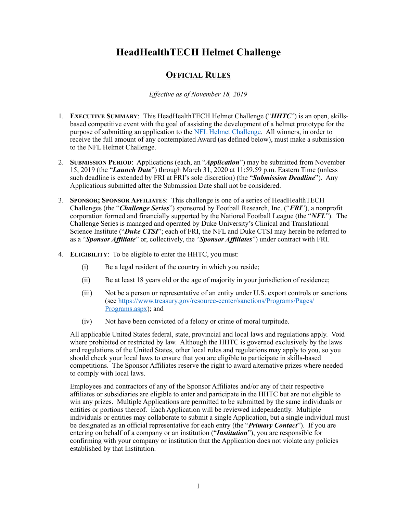## **HeadHealthTECH Helmet Challenge**

## **OFFICIAL RULES**

*Effective as of November 18, 2019* 

- 1. **EXECUTIVE SUMMARY**: This HeadHealthTECH Helmet Challenge ("*HHTC*") is an open, skillsbased competitive event with the goal of assisting the development of a helmet prototype for the purpose of submitting an application to the [NFL Helmet Challenge](https://www.playsmartplaysafe.com/nfl-helmet-challenge/). All winners, in order to receive the full amount of any contemplated Award (as defined below), must make a submission to the NFL Helmet Challenge.
- 2. **SUBMISSION PERIOD**: Applications (each, an "*Application*") may be submitted from November 15, 2019 (the "*Launch Date*") through March 31, 2020 at 11:59.59 p.m. Eastern Time (unless such deadline is extended by FRI at FRI's sole discretion) (the "*Submission Deadline*"). Any Applications submitted after the Submission Date shall not be considered.
- 3. **SPONSOR; SPONSOR AFFILIATES**: This challenge is one of a series of HeadHealthTECH Challenges (the "*Challenge Series*") sponsored by Football Research, Inc. ("*FRI*"), a nonprofit corporation formed and financially supported by the National Football League (the "*NFL*"). The Challenge Series is managed and operated by Duke University's Clinical and Translational Science Institute ("*Duke CTSI*"; each of FRI, the NFL and Duke CTSI may herein be referred to as a "*Sponsor Affiliate*" or, collectively, the "*Sponsor Affiliates*") under contract with FRI.
- 4. **ELIGIBILITY**: To be eligible to enter the HHTC, you must:
	- (i) Be a legal resident of the country in which you reside;
	- (ii) Be at least 18 years old or the age of majority in your jurisdiction of residence;
	- (iii) Not be a person or representative of an entity under U.S. export controls or sanctions [\(see https://www.treasury.gov/resource-center/sanctions/Programs/Pages/](https://www.treasury.gov/resource-center/sanctions/Programs/Pages/Programs.aspx) [Programs.aspx](https://www.treasury.gov/resource-center/sanctions/Programs/Pages/Programs.aspx)); and
	- (iv) Not have been convicted of a felony or crime of moral turpitude.

All applicable United States federal, state, provincial and local laws and regulations apply. Void where prohibited or restricted by law. Although the HHTC is governed exclusively by the laws and regulations of the United States, other local rules and regulations may apply to you, so you should check your local laws to ensure that you are eligible to participate in skills-based competitions. The Sponsor Affiliates reserve the right to award alternative prizes where needed to comply with local laws.

Employees and contractors of any of the Sponsor Affiliates and/or any of their respective affiliates or subsidiaries are eligible to enter and participate in the HHTC but are not eligible to win any prizes. Multiple Applications are permitted to be submitted by the same individuals or entities or portions thereof. Each Application will be reviewed independently. Multiple individuals or entities may collaborate to submit a single Application, but a single individual must be designated as an official representative for each entry (the "*Primary Contact*"). If you are entering on behalf of a company or an institution ("*Institution*"), you are responsible for confirming with your company or institution that the Application does not violate any policies established by that Institution.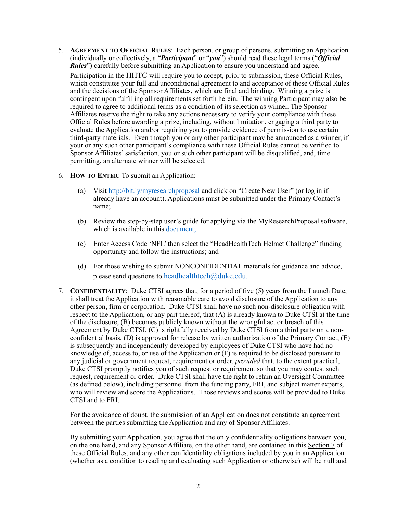- 5. **AGREEMENT TO OFFICIAL RULES**: Each person, or group of persons, submitting an Application (individually or collectively, a "*Participant*" or "you") should read these legal terms ("*Official Rules*") carefully before submitting an Application to ensure you understand and agree. Participation in the HHTC will require you to accept, prior to submission, these Official Rules, which constitutes your full and unconditional agreement to and acceptance of these Official Rules and the decisions of the Sponsor Affiliates, which are final and binding. Winning a prize is contingent upon fulfilling all requirements set forth herein. The winning Participant may also be required to agree to additional terms as a condition of its selection as winner. The Sponsor Affiliates reserve the right to take any actions necessary to verify your compliance with these Official Rules before awarding a prize, including, without limitation, engaging a third party to evaluate the Application and/or requiring you to provide evidence of permission to use certain third-party materials. Even though you or any other participant may be announced as a winner, if your or any such other participant's compliance with these Official Rules cannot be verified to Sponsor Affiliates' satisfaction, you or such other participant will be disqualified, and, time permitting, an alternate winner will be selected.
- 6. **HOW TO ENTER**: To submit an Application:
	- (a) Visit [http://bit.ly/myresearchproposal](https://protect-us.mimecast.com/s/nhvbC2kAqZIXQ7Lc1Zg8f?domain=urldefense.proofpoint.com) and click on "Create New User" (or log in if already have an account). Applications must be submitted under the Primary Contact's name;
	- (b) Review the step-by-step user's guide for applying via the MyResearchProposal software, which is available in this [document;](https://protect-us.mimecast.com/s/qfGsC4xDvZuOxrZiWj8xs?domain=ctsi.duke.edu)
	- (c) Enter Access Code 'NFL' then select the "HeadHealthTech Helmet Challenge" funding opportunity and follow the instructions; and
	- (d) For those wishing to submit NONCONFIDENTIAL materials for guidance and advice, please send questions to headhealthtech $@d$ uke.edu.
- 7. **CONFIDENTIALITY**: Duke CTSI agrees that, for a period of five (5) years from the Launch Date, it shall treat the Application with reasonable care to avoid disclosure of the Application to any other person, firm or corporation. Duke CTSI shall have no such non-disclosure obligation with respect to the Application, or any part thereof, that (A) is already known to Duke CTSI at the time of the disclosure, (B) becomes publicly known without the wrongful act or breach of this Agreement by Duke CTSI, (C) is rightfully received by Duke CTSI from a third party on a nonconfidential basis, (D) is approved for release by written authorization of the Primary Contact, (E) is subsequently and independently developed by employees of Duke CTSI who have had no knowledge of, access to, or use of the Application or (F) is required to be disclosed pursuant to any judicial or government request, requirement or order, *provided* that, to the extent practical, Duke CTSI promptly notifies you of such request or requirement so that you may contest such request, requirement or order. Duke CTSI shall have the right to retain an Oversight Committee (as defined below), including personnel from the funding party, FRI, and subject matter experts, who will review and score the Applications. Those reviews and scores will be provided to Duke CTSI and to FRI.

For the avoidance of doubt, the submission of an Application does not constitute an agreement between the parties submitting the Application and any of Sponsor Affiliates.

By submitting your Application, you agree that the only confidentiality obligations between you, on the one hand, and any Sponsor Affiliate, on the other hand, are contained in this Section 7 of these Official Rules, and any other confidentiality obligations included by you in an Application (whether as a condition to reading and evaluating such Application or otherwise) will be null and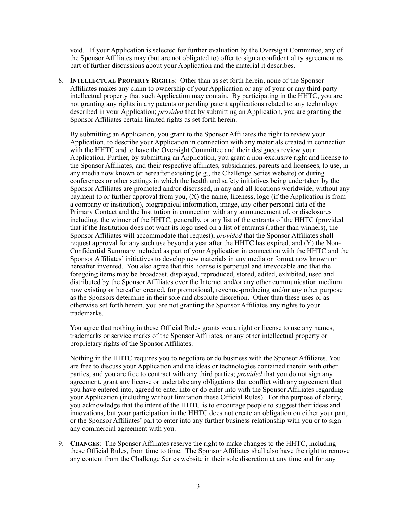void. If your Application is selected for further evaluation by the Oversight Committee, any of the Sponsor Affiliates may (but are not obligated to) offer to sign a confidentiality agreement as part of further discussions about your Application and the material it describes.

8. **INTELLECTUAL PROPERTY RIGHTS**: Other than as set forth herein, none of the Sponsor Affiliates makes any claim to ownership of your Application or any of your or any third-party intellectual property that such Application may contain. By participating in the HHTC, you are not granting any rights in any patents or pending patent applications related to any technology described in your Application; *provided* that by submitting an Application, you are granting the Sponsor Affiliates certain limited rights as set forth herein.

By submitting an Application, you grant to the Sponsor Affiliates the right to review your Application, to describe your Application in connection with any materials created in connection with the HHTC and to have the Oversight Committee and their designees review your Application. Further, by submitting an Application, you grant a non-exclusive right and license to the Sponsor Affiliates, and their respective affiliates, subsidiaries, parents and licensees, to use, in any media now known or hereafter existing (e.g., the Challenge Series website) or during conferences or other settings in which the health and safety initiatives being undertaken by the Sponsor Affiliates are promoted and/or discussed, in any and all locations worldwide, without any payment to or further approval from you,  $(X)$  the name, likeness, logo (if the Application is from a company or institution), biographical information, image, any other personal data of the Primary Contact and the Institution in connection with any announcement of, or disclosures including, the winner of the HHTC, generally, or any list of the entrants of the HHTC (provided that if the Institution does not want its logo used on a list of entrants (rather than winners), the Sponsor Affiliates will accommodate that request); *provided* that the Sponsor Affiliates shall request approval for any such use beyond a year after the HHTC has expired, and (Y) the Non-Confidential Summary included as part of your Application in connection with the HHTC and the Sponsor Affiliates' initiatives to develop new materials in any media or format now known or hereafter invented. You also agree that this license is perpetual and irrevocable and that the foregoing items may be broadcast, displayed, reproduced, stored, edited, exhibited, used and distributed by the Sponsor Affiliates over the Internet and/or any other communication medium now existing or hereafter created, for promotional, revenue-producing and/or any other purpose as the Sponsors determine in their sole and absolute discretion. Other than these uses or as otherwise set forth herein, you are not granting the Sponsor Affiliates any rights to your trademarks.

You agree that nothing in these Official Rules grants you a right or license to use any names, trademarks or service marks of the Sponsor Affiliates, or any other intellectual property or proprietary rights of the Sponsor Affiliates.

Nothing in the HHTC requires you to negotiate or do business with the Sponsor Affiliates. You are free to discuss your Application and the ideas or technologies contained therein with other parties, and you are free to contract with any third parties; *provided* that you do not sign any agreement, grant any license or undertake any obligations that conflict with any agreement that you have entered into, agreed to enter into or do enter into with the Sponsor Affiliates regarding your Application (including without limitation these Official Rules). For the purpose of clarity, you acknowledge that the intent of the HHTC is to encourage people to suggest their ideas and innovations, but your participation in the HHTC does not create an obligation on either your part, or the Sponsor Affiliates' part to enter into any further business relationship with you or to sign any commercial agreement with you.

9. **CHANGES**: The Sponsor Affiliates reserve the right to make changes to the HHTC, including these Official Rules, from time to time. The Sponsor Affiliates shall also have the right to remove any content from the Challenge Series website in their sole discretion at any time and for any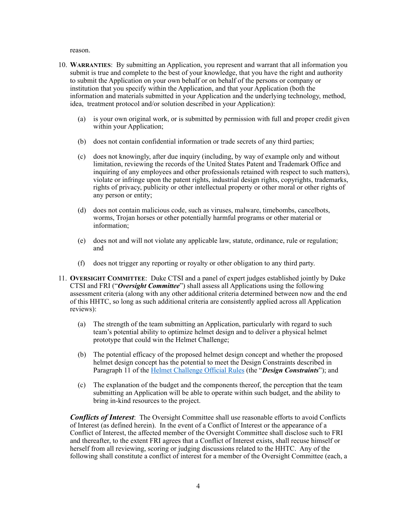reason.

- 10. **WARRANTIES**: By submitting an Application, you represent and warrant that all information you submit is true and complete to the best of your knowledge, that you have the right and authority to submit the Application on your own behalf or on behalf of the persons or company or institution that you specify within the Application, and that your Application (both the information and materials submitted in your Application and the underlying technology, method, idea, treatment protocol and/or solution described in your Application):
	- (a) is your own original work, or is submitted by permission with full and proper credit given within your Application;
	- (b) does not contain confidential information or trade secrets of any third parties;
	- (c) does not knowingly, after due inquiry (including, by way of example only and without limitation, reviewing the records of the United States Patent and Trademark Office and inquiring of any employees and other professionals retained with respect to such matters), violate or infringe upon the patent rights, industrial design rights, copyrights, trademarks, rights of privacy, publicity or other intellectual property or other moral or other rights of any person or entity;
	- (d) does not contain malicious code, such as viruses, malware, timebombs, cancelbots, worms, Trojan horses or other potentially harmful programs or other material or information;
	- (e) does not and will not violate any applicable law, statute, ordinance, rule or regulation; and
	- (f) does not trigger any reporting or royalty or other obligation to any third party.
- 11. **OVERSIGHT COMMITTEE**: Duke CTSI and a panel of expert judges established jointly by Duke CTSI and FRI ("*Oversight Committee*") shall assess all Applications using the following assessment criteria (along with any other additional criteria determined between now and the end of this HHTC, so long as such additional criteria are consistently applied across all Application reviews):
	- (a) The strength of the team submitting an Application, particularly with regard to such team's potential ability to optimize helmet design and to deliver a physical helmet prototype that could win the Helmet Challenge;
	- (b) The potential efficacy of the proposed helmet design concept and whether the proposed helmet design concept has the potential to meet the Design Constraints described in Paragraph 11 of the [Helmet Challenge Official Rules](https://www.playsmartplaysafe.com/wp-content/uploads/2019/09/nfl-helmet-challenge-official-rules-updated091219final.pdf) (the "*Design Constraints*"); and
	- (c) The explanation of the budget and the components thereof, the perception that the team submitting an Application will be able to operate within such budget, and the ability to bring in-kind resources to the project.

*Conflicts of Interest*: The Oversight Committee shall use reasonable efforts to avoid Conflicts of Interest (as defined herein). In the event of a Conflict of Interest or the appearance of a Conflict of Interest, the affected member of the Oversight Committee shall disclose such to FRI and thereafter, to the extent FRI agrees that a Conflict of Interest exists, shall recuse himself or herself from all reviewing, scoring or judging discussions related to the HHTC. Any of the following shall constitute a conflict of interest for a member of the Oversight Committee (each, a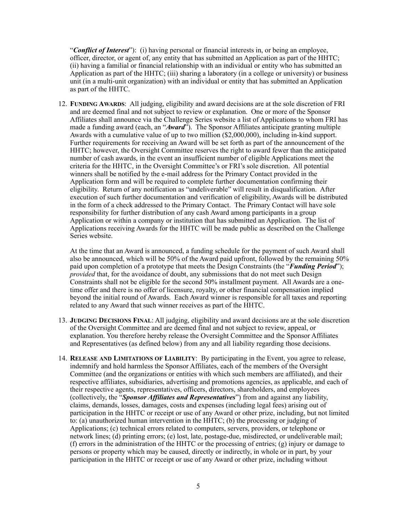"*Conflict of Interest*"): (i) having personal or financial interests in, or being an employee, officer, director, or agent of, any entity that has submitted an Application as part of the HHTC; (ii) having a familial or financial relationship with an individual or entity who has submitted an Application as part of the HHTC; (iii) sharing a laboratory (in a college or university) or business unit (in a multi-unit organization) with an individual or entity that has submitted an Application as part of the HHTC.

12. **FUNDING AWARDS**: All judging, eligibility and award decisions are at the sole discretion of FRI and are deemed final and not subject to review or explanation. One or more of the Sponsor Affiliates shall announce via the Challenge Series website a list of Applications to whom FRI has made a funding award (each, an "*Award*"). The Sponsor Affiliates anticipate granting multiple Awards with a cumulative value of up to two million (\$2,000,000), including in-kind support. Further requirements for receiving an Award will be set forth as part of the announcement of the HHTC; however, the Oversight Committee reserves the right to award fewer than the anticipated number of cash awards, in the event an insufficient number of eligible Applications meet the criteria for the HHTC, in the Oversight Committee's or FRI's sole discretion. All potential winners shall be notified by the e-mail address for the Primary Contact provided in the Application form and will be required to complete further documentation confirming their eligibility. Return of any notification as "undeliverable" will result in disqualification. After execution of such further documentation and verification of eligibility, Awards will be distributed in the form of a check addressed to the Primary Contact. The Primary Contact will have sole responsibility for further distribution of any cash Award among participants in a group Application or within a company or institution that has submitted an Application. The list of Applications receiving Awards for the HHTC will be made public as described on the Challenge Series website.

At the time that an Award is announced, a funding schedule for the payment of such Award shall also be announced, which will be 50% of the Award paid upfront, followed by the remaining 50% paid upon completion of a prototype that meets the Design Constraints (the "*Funding Period*"); *provided* that, for the avoidance of doubt, any submissions that do not meet such Design Constraints shall not be eligible for the second 50% installment payment. All Awards are a onetime offer and there is no offer of licensure, royalty, or other financial compensation implied beyond the initial round of Awards. Each Award winner is responsible for all taxes and reporting related to any Award that such winner receives as part of the HHTC.

- 13. **JUDGING DECISIONS FINAL**: All judging, eligibility and award decisions are at the sole discretion of the Oversight Committee and are deemed final and not subject to review, appeal, or explanation. You therefore hereby release the Oversight Committee and the Sponsor Affiliates and Representatives (as defined below) from any and all liability regarding those decisions.
- 14. **RELEASE AND LIMITATIONS OF LIABILITY**: By participating in the Event, you agree to release, indemnify and hold harmless the Sponsor Affiliates, each of the members of the Oversight Committee (and the organizations or entities with which such members are affiliated), and their respective affiliates, subsidiaries, advertising and promotions agencies, as applicable, and each of their respective agents, representatives, officers, directors, shareholders, and employees (collectively, the "*Sponsor Affiliates and Representatives*") from and against any liability, claims, demands, losses, damages, costs and expenses (including legal fees) arising out of participation in the HHTC or receipt or use of any Award or other prize, including, but not limited to: (a) unauthorized human intervention in the HHTC; (b) the processing or judging of Applications; (c) technical errors related to computers, servers, providers, or telephone or network lines; (d) printing errors; (e) lost, late, postage-due, misdirected, or undeliverable mail; (f) errors in the administration of the HHTC or the processing of entries; (g) injury or damage to persons or property which may be caused, directly or indirectly, in whole or in part, by your participation in the HHTC or receipt or use of any Award or other prize, including without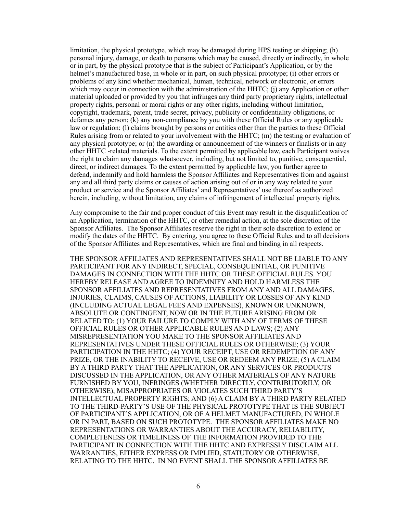limitation, the physical prototype, which may be damaged during HPS testing or shipping; (h) personal injury, damage, or death to persons which may be caused, directly or indirectly, in whole or in part, by the physical prototype that is the subject of Participant's Application, or by the helmet's manufactured base, in whole or in part, on such physical prototype; (i) other errors or problems of any kind whether mechanical, human, technical, network or electronic, or errors which may occur in connection with the administration of the HHTC; (j) any Application or other material uploaded or provided by you that infringes any third party proprietary rights, intellectual property rights, personal or moral rights or any other rights, including without limitation, copyright, trademark, patent, trade secret, privacy, publicity or confidentiality obligations, or defames any person; (k) any non-compliance by you with these Official Rules or any applicable law or regulation; (l) claims brought by persons or entities other than the parties to these Official Rules arising from or related to your involvement with the HHTC; (m) the testing or evaluation of any physical prototype; or (n) the awarding or announcement of the winners or finalists or in any other HHTC -related materials. To the extent permitted by applicable law, each Participant waives the right to claim any damages whatsoever, including, but not limited to, punitive, consequential, direct, or indirect damages. To the extent permitted by applicable law, you further agree to defend, indemnify and hold harmless the Sponsor Affiliates and Representatives from and against any and all third party claims or causes of action arising out of or in any way related to your product or service and the Sponsor Affiliates' and Representatives' use thereof as authorized herein, including, without limitation, any claims of infringement of intellectual property rights.

Any compromise to the fair and proper conduct of this Event may result in the disqualification of an Application, termination of the HHTC, or other remedial action, at the sole discretion of the Sponsor Affiliates. The Sponsor Affiliates reserve the right in their sole discretion to extend or modify the dates of the HHTC. By entering, you agree to these Official Rules and to all decisions of the Sponsor Affiliates and Representatives, which are final and binding in all respects.

THE SPONSOR AFFILIATES AND REPRESENTATIVES SHALL NOT BE LIABLE TO ANY PARTICIPANT FOR ANY INDIRECT, SPECIAL, CONSEQUENTIAL, OR PUNITIVE DAMAGES IN CONNECTION WITH THE HHTC OR THESE OFFICIAL RULES. YOU HEREBY RELEASE AND AGREE TO INDEMNIFY AND HOLD HARMLESS THE SPONSOR AFFILIATES AND REPRESENTATIVES FROM ANY AND ALL DAMAGES, INJURIES, CLAIMS, CAUSES OF ACTIONS, LIABILITY OR LOSSES OF ANY KIND (INCLUDING ACTUAL LEGAL FEES AND EXPENSES), KNOWN OR UNKNOWN, ABSOLUTE OR CONTINGENT, NOW OR IN THE FUTURE ARISING FROM OR RELATED TO: (1) YOUR FAILURE TO COMPLY WITH ANY OF TERMS OF THESE OFFICIAL RULES OR OTHER APPLICABLE RULES AND LAWS; (2) ANY MISREPRESENTATION YOU MAKE TO THE SPONSOR AFFILIATES AND REPRESENTATIVES UNDER THESE OFFICIAL RULES OR OTHERWISE; (3) YOUR PARTICIPATION IN THE HHTC; (4) YOUR RECEIPT, USE OR REDEMPTION OF ANY PRIZE, OR THE INABILITY TO RECEIVE, USE OR REDEEM ANY PRIZE; (5) A CLAIM BY A THIRD PARTY THAT THE APPLICATION, OR ANY SERVICES OR PRODUCTS DISCUSSED IN THE APPLICATION, OR ANY OTHER MATERIALS OF ANY NATURE FURNISHED BY YOU, INFRINGES (WHETHER DIRECTLY, CONTRIBUTORILY, OR OTHERWISE), MISAPPROPRIATES OR VIOLATES SUCH THIRD PARTY'S INTELLECTUAL PROPERTY RIGHTS; AND (6) A CLAIM BY A THIRD PARTY RELATED TO THE THIRD-PARTY'S USE OF THE PHYSICAL PROTOTYPE THAT IS THE SUBJECT OF PARTICIPANT'S APPLICATION, OR OF A HELMET MANUFACTURED, IN WHOLE OR IN PART, BASED ON SUCH PROTOTYPE. THE SPONSOR AFFILIATES MAKE NO REPRESENTATIONS OR WARRANTIES ABOUT THE ACCURACY, RELIABILITY, COMPLETENESS OR TIMELINESS OF THE INFORMATION PROVIDED TO THE PARTICIPANT IN CONNECTION WITH THE HHTC AND EXPRESSLY DISCLAIM ALL WARRANTIES, EITHER EXPRESS OR IMPLIED, STATUTORY OR OTHERWISE, RELATING TO THE HHTC. IN NO EVENT SHALL THE SPONSOR AFFILIATES BE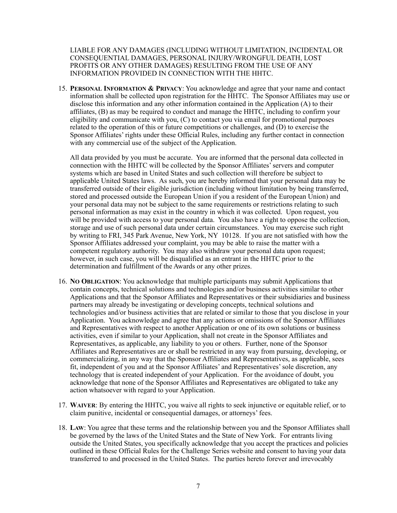LIABLE FOR ANY DAMAGES (INCLUDING WITHOUT LIMITATION, INCIDENTAL OR CONSEQUENTIAL DAMAGES, PERSONAL INJURY/WRONGFUL DEATH, LOST PROFITS OR ANY OTHER DAMAGES) RESULTING FROM THE USE OF ANY INFORMATION PROVIDED IN CONNECTION WITH THE HHTC.

15. **PERSONAL INFORMATION & PRIVACY**: You acknowledge and agree that your name and contact information shall be collected upon registration for the HHTC. The Sponsor Affiliates may use or disclose this information and any other information contained in the Application (A) to their affiliates, (B) as may be required to conduct and manage the HHTC, including to confirm your eligibility and communicate with you, (C) to contact you via email for promotional purposes related to the operation of this or future competitions or challenges, and (D) to exercise the Sponsor Affiliates' rights under these Official Rules, including any further contact in connection with any commercial use of the subject of the Application.

All data provided by you must be accurate. You are informed that the personal data collected in connection with the HHTC will be collected by the Sponsor Affiliates' servers and computer systems which are based in United States and such collection will therefore be subject to applicable United States laws. As such, you are hereby informed that your personal data may be transferred outside of their eligible jurisdiction (including without limitation by being transferred, stored and processed outside the European Union if you a resident of the European Union) and your personal data may not be subject to the same requirements or restrictions relating to such personal information as may exist in the country in which it was collected. Upon request, you will be provided with access to your personal data. You also have a right to oppose the collection, storage and use of such personal data under certain circumstances. You may exercise such right by writing to FRI, 345 Park Avenue, New York, NY 10128. If you are not satisfied with how the Sponsor Affiliates addressed your complaint, you may be able to raise the matter with a competent regulatory authority. You may also withdraw your personal data upon request; however, in such case, you will be disqualified as an entrant in the HHTC prior to the determination and fulfillment of the Awards or any other prizes.

- 16. **NO OBLIGATION**: You acknowledge that multiple participants may submit Applications that contain concepts, technical solutions and technologies and/or business activities similar to other Applications and that the Sponsor Affiliates and Representatives or their subsidiaries and business partners may already be investigating or developing concepts, technical solutions and technologies and/or business activities that are related or similar to those that you disclose in your Application. You acknowledge and agree that any actions or omissions of the Sponsor Affiliates and Representatives with respect to another Application or one of its own solutions or business activities, even if similar to your Application, shall not create in the Sponsor Affiliates and Representatives, as applicable, any liability to you or others. Further, none of the Sponsor Affiliates and Representatives are or shall be restricted in any way from pursuing, developing, or commercializing, in any way that the Sponsor Affiliates and Representatives, as applicable, sees fit, independent of you and at the Sponsor Affiliates' and Representatives' sole discretion, any technology that is created independent of your Application. For the avoidance of doubt, you acknowledge that none of the Sponsor Affiliates and Representatives are obligated to take any action whatsoever with regard to your Application.
- 17. **WAIVER**: By entering the HHTC, you waive all rights to seek injunctive or equitable relief, or to claim punitive, incidental or consequential damages, or attorneys' fees.
- 18. **LAW**: You agree that these terms and the relationship between you and the Sponsor Affiliates shall be governed by the laws of the United States and the State of New York. For entrants living outside the United States, you specifically acknowledge that you accept the practices and policies outlined in these Official Rules for the Challenge Series website and consent to having your data transferred to and processed in the United States. The parties hereto forever and irrevocably